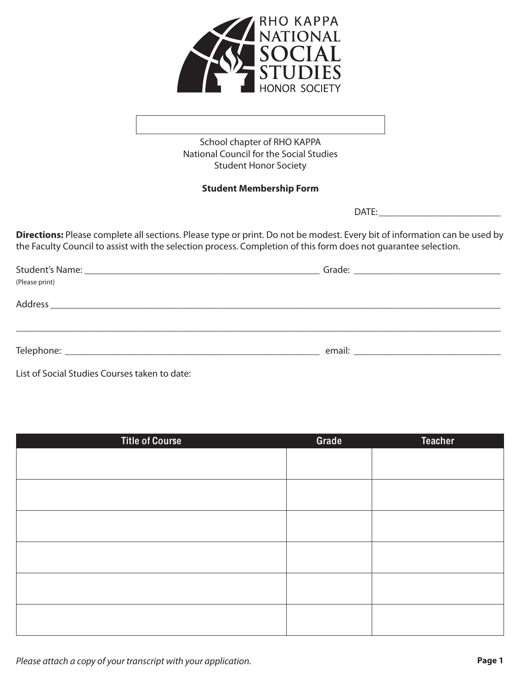

School chapter of RHO KAPPA National Council for the Social Studies Student Honor Society

# **Student Membership Form**

DATE:

**Directions:** Please complete all sections. Please type or print. Do not be modest. Every bit of information can be used by the Faculty Council to assist with the selection process. Completion of this form does not guarantee selection.

| (Please print)                                                       |  |
|----------------------------------------------------------------------|--|
| Address<br><u> 2002 - Jan Berlin Start, fransk politik (d. 1882)</u> |  |
|                                                                      |  |
|                                                                      |  |
|                                                                      |  |
|                                                                      |  |

List of Social Studies Courses taken to date:

| <b>Title of Course</b> | Grade | <b>Teacher</b> |
|------------------------|-------|----------------|
|                        |       |                |
|                        |       |                |
|                        |       |                |
|                        |       |                |
|                        |       |                |
|                        |       |                |
|                        |       |                |
|                        |       |                |
|                        |       |                |
|                        |       |                |
|                        |       |                |
|                        |       |                |

Please attach a copy of your transcript with your application.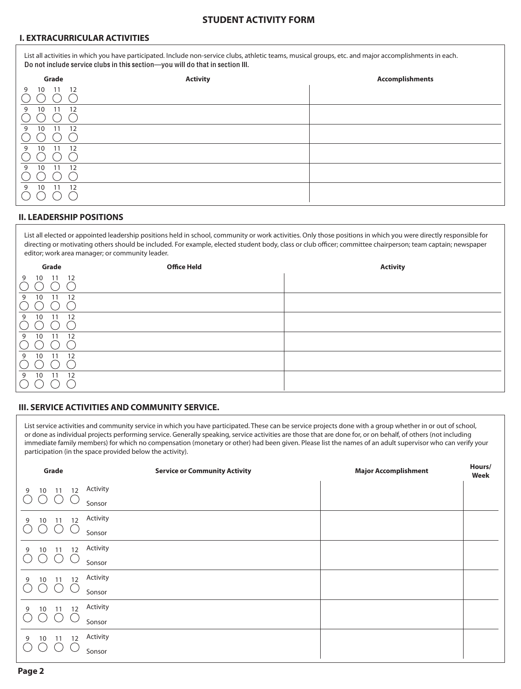## **STUDENT ACTIVITY FORM**

## **I. EXTRACURRICULAR ACTIVITIES**

List all activities in which you have participated. Include non-service clubs, athletic teams, musical groups, etc. and major accomplishments in each. Do not include service clubs in this section—you will do that in section III.

| Grade                | <b>Activity</b> | <b>Accomplishments</b> |
|----------------------|-----------------|------------------------|
| 10 11 12<br>9        |                 |                        |
| 10<br>11<br>12<br>9  |                 |                        |
| 10<br>11<br>12<br>9  |                 |                        |
| 11<br>10<br>12<br>9  |                 |                        |
| 9<br>10<br>11<br>-12 |                 |                        |
| 11<br>-12<br>10<br>9 |                 |                        |

#### **II. LEADERSHIP POSITIONS**

List all elected or appointed leadership positions held in school, community or work activities. Only those positions in which you were directly responsible for directing or motivating others should be included. For example, elected student body, class or club officer; committee chairperson; team captain; newspaper editor; work area manager; or community leader.

| Grade                            | <b>Office Held</b> | <b>Activity</b> |
|----------------------------------|--------------------|-----------------|
| 12<br>11<br>9<br>10              |                    |                 |
| 10<br>12<br>9<br>11              |                    |                 |
| 10<br>12<br>11<br>9              |                    |                 |
| 10<br>12<br>9<br>11              |                    |                 |
| 10<br>12<br>11<br>9              |                    |                 |
| 10 <sup>°</sup><br>9<br>12<br>11 |                    |                 |

#### **III. SERVICE ACTIVITIES AND COMMUNITY SERVICE.**

List service activities and community service in which you have participated. These can be service projects done with a group whether in or out of school, or done as individual projects performing service. Generally speaking, service activities are those that are done for, or on behalf, of others (not including immediate family members) for which no compensation (monetary or other) had been given. Please list the names of an adult supervisor who can verify your participation (in the space provided below the activity).

| Grade                            | <b>Service or Community Activity</b> | <b>Major Accomplishment</b> | Hours/<br>Week |
|----------------------------------|--------------------------------------|-----------------------------|----------------|
| 10<br>11<br>12<br>9              | Activity                             |                             |                |
|                                  | Sonsor                               |                             |                |
| 10<br>12<br>9<br>11              | Activity                             |                             |                |
| Ő<br>U                           | Sonsor                               |                             |                |
| 12<br>10<br>11<br>9              | Activity                             |                             |                |
| $\left( \quad \right)$<br>U      | Sonsor                               |                             |                |
| 12<br>10 11<br>9                 | Activity                             |                             |                |
| $\bigcirc$<br>( )                | Sonsor                               |                             |                |
| 12<br>10<br>11<br>9              | Activity                             |                             |                |
| U                                | Sonsor                               |                             |                |
| 12<br>10 <sup>°</sup><br>11<br>9 | Activity                             |                             |                |
|                                  | Sonsor                               |                             |                |